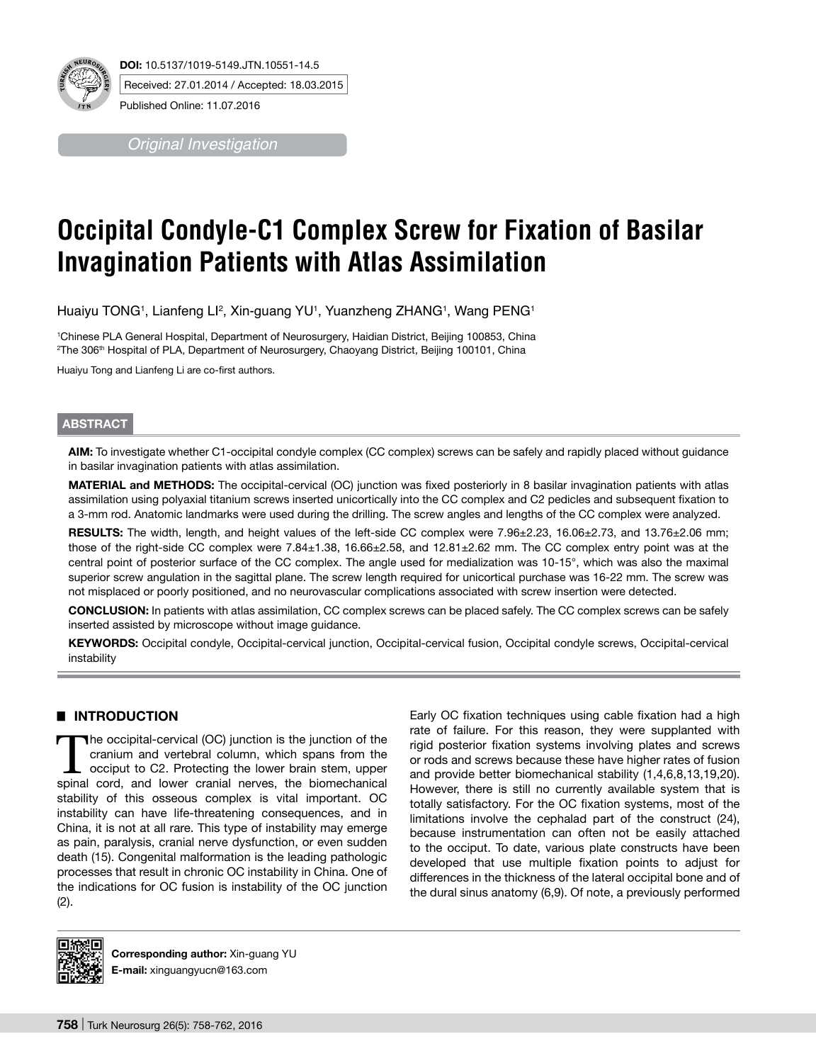

*Original Investigation*

# **Occipital Condyle-C1 Complex Screw for Fixation of Basilar Invagination Patients with Atlas Assimilation**

Huaiyu TONG1, Lianfeng Ll<sup>2</sup>, Xin-guang YU1, Yuanzheng ZHANG1, Wang PENG1

1 Chinese PLA General Hospital, Department of Neurosurgery, Haidian District, Beijing 100853, China  $^{\rm 2}$ The 306 $^{\rm th}$  Hospital of PLA, Department of Neurosurgery, Chaoyang District, Beijing 100101, China

Huaiyu Tong and Lianfeng Li are co-first authors.

# **ABSTRACT**

**AIm:** To investigate whether C1-occipital condyle complex (CC complex) screws can be safely and rapidly placed without guidance in basilar invagination patients with atlas assimilation.

**MaterIal and Methods:** The occipital-cervical (OC) junction was fixed posteriorly in 8 basilar invagination patients with atlas assimilation using polyaxial titanium screws inserted unicortically into the CC complex and C2 pedicles and subsequent fixation to a 3-mm rod. Anatomic landmarks were used during the drilling. The screw angles and lengths of the CC complex were analyzed.

**Results:** The width, length, and height values of the left-side CC complex were 7.96±2.23, 16.06±2.73, and 13.76±2.06 mm; those of the right-side CC complex were 7.84±1.38, 16.66±2.58, and 12.81±2.62 mm. The CC complex entry point was at the central point of posterior surface of the CC complex. The angle used for medialization was 10-15°, which was also the maximal superior screw angulation in the sagittal plane. The screw length required for unicortical purchase was 16-22 mm. The screw was not misplaced or poorly positioned, and no neurovascular complications associated with screw insertion were detected.

**ConclusIon:** In patients with atlas assimilation, CC complex screws can be placed safely. The CC complex screws can be safely inserted assisted by microscope without image guidance.

**Keywords:** Occipital condyle, Occipital-cervical junction, Occipital-cervical fusion, Occipital condyle screws, Occipital-cervical instability

# █ **INTRODUCTION**

The occipital-cervical (OC) junction is the junction of the cranium and vertebral column, which spans from the occiput to C2. Protecting the lower brain stem, upper spinal cord, and lower cranial nerves, the biomechanical stability of this osseous complex is vital important. OC instability can have life-threatening consequences, and in China, it is not at all rare. This type of instability may emerge as pain, paralysis, cranial nerve dysfunction, or even sudden death (15). Congenital malformation is the leading pathologic processes that result in chronic OC instability in China. One of the indications for OC fusion is instability of the OC junction (2).

Early OC fixation techniques using cable fixation had a high rate of failure. For this reason, they were supplanted with rigid posterior fixation systems involving plates and screws or rods and screws because these have higher rates of fusion and provide better biomechanical stability (1,4,6,8,13,19,20). However, there is still no currently available system that is totally satisfactory. For the OC fixation systems, most of the limitations involve the cephalad part of the construct (24), because instrumentation can often not be easily attached to the occiput. To date, various plate constructs have been developed that use multiple fixation points to adjust for differences in the thickness of the lateral occipital bone and of the dural sinus anatomy (6,9). Of note, a previously performed



**Corresponding author:** Xin-guang Yu **E-mail:** xinguangyucn@163.com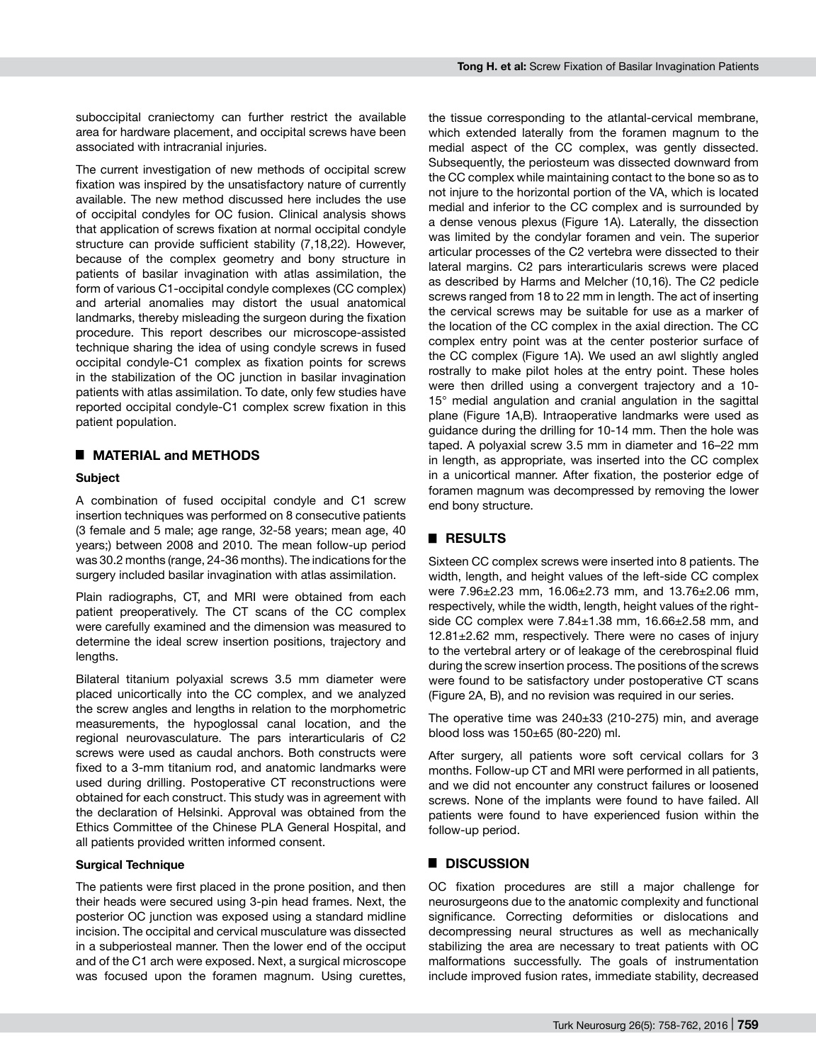suboccipital craniectomy can further restrict the available area for hardware placement, and occipital screws have been associated with intracranial injuries.

The current investigation of new methods of occipital screw fixation was inspired by the unsatisfactory nature of currently available. The new method discussed here includes the use of occipital condyles for OC fusion. Clinical analysis shows that application of screws fixation at normal occipital condyle structure can provide sufficient stability (7,18,22). However, because of the complex geometry and bony structure in patients of basilar invagination with atlas assimilation, the form of various C1-occipital condyle complexes (CC complex) and arterial anomalies may distort the usual anatomical landmarks, thereby misleading the surgeon during the fixation procedure. This report describes our microscope-assisted technique sharing the idea of using condyle screws in fused occipital condyle-C1 complex as fixation points for screws in the stabilization of the OC junction in basilar invagination patients with atlas assimilation. To date, only few studies have reported occipital condyle-C1 complex screw fixation in this patient population.

# █ **MATERIAL and METHODS**

#### **Subject**

A combination of fused occipital condyle and C1 screw insertion techniques was performed on 8 consecutive patients (3 female and 5 male; age range, 32-58 years; mean age, 40 years;) between 2008 and 2010. The mean follow-up period was 30.2 months (range, 24-36 months). The indications for the surgery included basilar invagination with atlas assimilation.

Plain radiographs, CT, and MRI were obtained from each patient preoperatively. The CT scans of the CC complex were carefully examined and the dimension was measured to determine the ideal screw insertion positions, trajectory and lengths.

Bilateral titanium polyaxial screws 3.5 mm diameter were placed unicortically into the CC complex, and we analyzed the screw angles and lengths in relation to the morphometric measurements, the hypoglossal canal location, and the regional neurovasculature. The pars interarticularis of C2 screws were used as caudal anchors. Both constructs were fixed to a 3-mm titanium rod, and anatomic landmarks were used during drilling. Postoperative CT reconstructions were obtained for each construct. This study was in agreement with the declaration of Helsinki. Approval was obtained from the Ethics Committee of the Chinese PLA General Hospital, and all patients provided written informed consent.

#### **Surgical Technique**

The patients were first placed in the prone position, and then their heads were secured using 3-pin head frames. Next, the posterior OC junction was exposed using a standard midline incision. The occipital and cervical musculature was dissected in a subperiosteal manner. Then the lower end of the occiput and of the C1 arch were exposed. Next, a surgical microscope was focused upon the foramen magnum. Using curettes,

the tissue corresponding to the atlantal-cervical membrane, which extended laterally from the foramen magnum to the medial aspect of the CC complex, was gently dissected. Subsequently, the periosteum was dissected downward from the CC complex while maintaining contact to the bone so as to not injure to the horizontal portion of the VA, which is located medial and inferior to the CC complex and is surrounded by a dense venous plexus (Figure 1A). Laterally, the dissection was limited by the condylar foramen and vein. The superior articular processes of the C2 vertebra were dissected to their lateral margins. C2 pars interarticularis screws were placed as described by Harms and Melcher (10,16). The C2 pedicle screws ranged from 18 to 22 mm in length. The act of inserting the cervical screws may be suitable for use as a marker of the location of the CC complex in the axial direction. The CC complex entry point was at the center posterior surface of the CC complex (Figure 1A). We used an awl slightly angled rostrally to make pilot holes at the entry point. These holes were then drilled using a convergent trajectory and a 10- 15° medial angulation and cranial angulation in the sagittal plane (Figure 1A,B). Intraoperative landmarks were used as guidance during the drilling for 10-14 mm. Then the hole was taped. A polyaxial screw 3.5 mm in diameter and 16–22 mm in length, as appropriate, was inserted into the CC complex in a unicortical manner. After fixation, the posterior edge of foramen magnum was decompressed by removing the lower end bony structure.

### █ **RESULTS**

Sixteen CC complex screws were inserted into 8 patients. The width, length, and height values of the left-side CC complex were 7.96±2.23 mm, 16.06±2.73 mm, and 13.76±2.06 mm, respectively, while the width, length, height values of the rightside CC complex were 7.84±1.38 mm, 16.66±2.58 mm, and  $12.81 \pm 2.62$  mm, respectively. There were no cases of injury to the vertebral artery or of leakage of the cerebrospinal fluid during the screw insertion process. The positions of the screws were found to be satisfactory under postoperative CT scans (Figure 2A, B), and no revision was required in our series.

The operative time was  $240\pm33$  (210-275) min, and average blood loss was 150±65 (80-220) ml.

After surgery, all patients wore soft cervical collars for 3 months. Follow-up CT and MRI were performed in all patients, and we did not encounter any construct failures or loosened screws. None of the implants were found to have failed. All patients were found to have experienced fusion within the follow-up period.

#### █ **DISCUSSION**

OC fixation procedures are still a major challenge for neurosurgeons due to the anatomic complexity and functional significance. Correcting deformities or dislocations and decompressing neural structures as well as mechanically stabilizing the area are necessary to treat patients with OC malformations successfully. The goals of instrumentation include improved fusion rates, immediate stability, decreased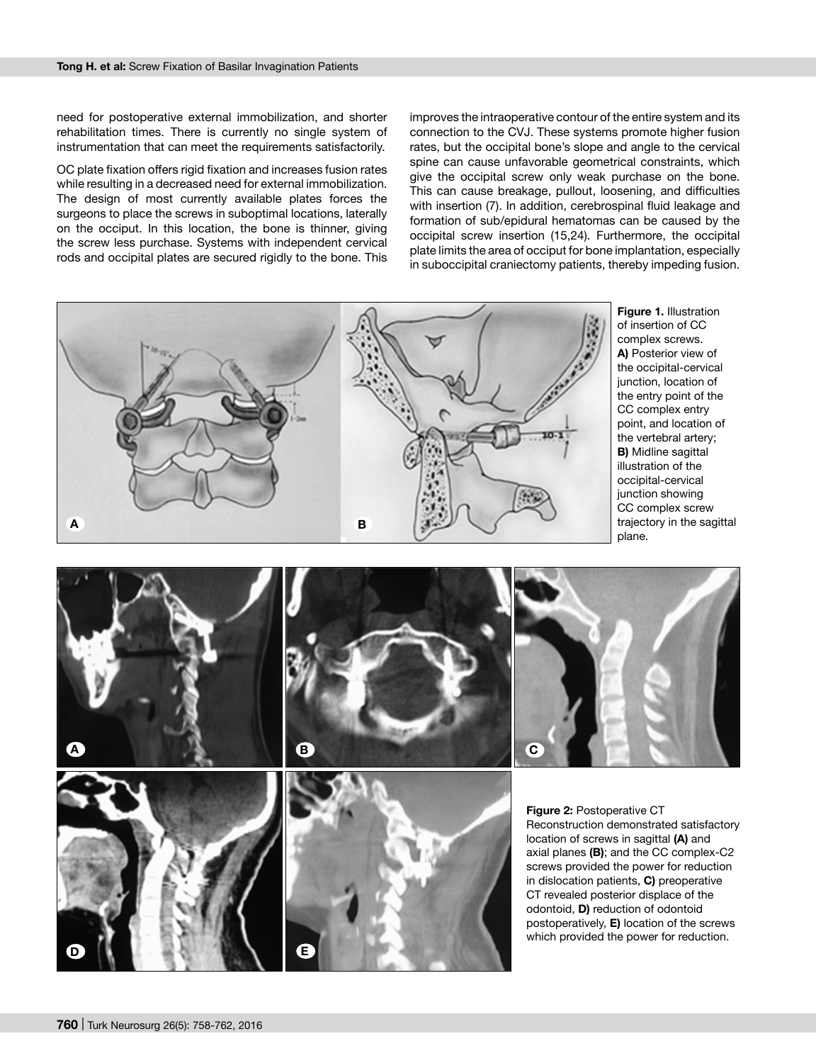need for postoperative external immobilization, and shorter rehabilitation times. There is currently no single system of instrumentation that can meet the requirements satisfactorily.

OC plate fixation offers rigid fixation and increases fusion rates while resulting in a decreased need for external immobilization. The design of most currently available plates forces the surgeons to place the screws in suboptimal locations, laterally on the occiput. In this location, the bone is thinner, giving the screw less purchase. Systems with independent cervical rods and occipital plates are secured rigidly to the bone. This improves the intraoperative contour of the entire system and its connection to the CVJ. These systems promote higher fusion rates, but the occipital bone's slope and angle to the cervical spine can cause unfavorable geometrical constraints, which give the occipital screw only weak purchase on the bone. This can cause breakage, pullout, loosening, and difficulties with insertion (7). In addition, cerebrospinal fluid leakage and formation of sub/epidural hematomas can be caused by the occipital screw insertion (15,24). Furthermore, the occipital plate limits the area of occiput for bone implantation, especially in suboccipital craniectomy patients, thereby impeding fusion.



**Figure 1.** Illustration of insertion of CC complex screws. **A)** Posterior view of the occipital-cervical junction, location of the entry point of the CC complex entry point, and location of the vertebral artery; **B)** Midline sagittal illustration of the occipital-cervical junction showing CC complex screw trajectory in the sagittal plane.

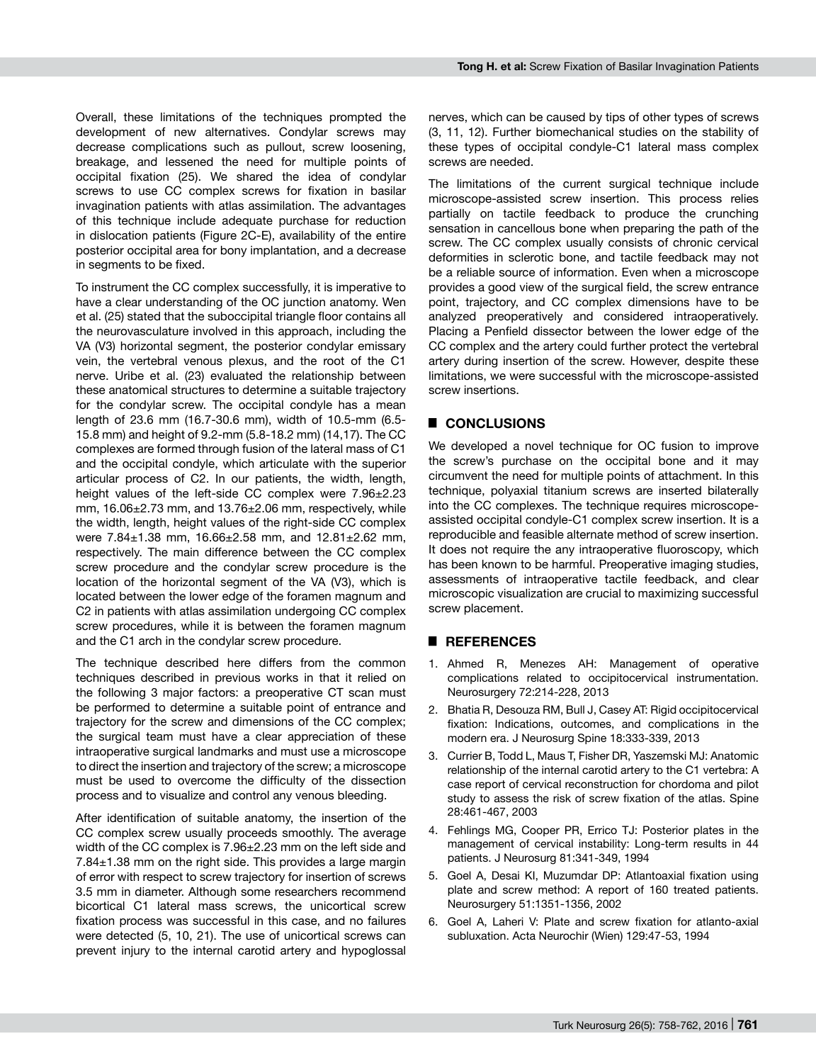Overall, these limitations of the techniques prompted the development of new alternatives. Condylar screws may decrease complications such as pullout, screw loosening, breakage, and lessened the need for multiple points of occipital fixation (25). We shared the idea of condylar screws to use CC complex screws for fixation in basilar invagination patients with atlas assimilation. The advantages of this technique include adequate purchase for reduction in dislocation patients (Figure 2C-E), availability of the entire posterior occipital area for bony implantation, and a decrease in segments to be fixed.

To instrument the CC complex successfully, it is imperative to have a clear understanding of the OC junction anatomy. Wen et al. (25) stated that the suboccipital triangle floor contains all the neurovasculature involved in this approach, including the VA (V3) horizontal segment, the posterior condylar emissary vein, the vertebral venous plexus, and the root of the C1 nerve. Uribe et al. (23) evaluated the relationship between these anatomical structures to determine a suitable trajectory for the condylar screw. The occipital condyle has a mean length of 23.6 mm (16.7-30.6 mm), width of 10.5-mm (6.5- 15.8 mm) and height of 9.2-mm (5.8-18.2 mm) (14,17). The CC complexes are formed through fusion of the lateral mass of C1 and the occipital condyle, which articulate with the superior articular process of C2. In our patients, the width, length, height values of the left-side CC complex were 7.96±2.23 mm,  $16.06\pm2.73$  mm, and  $13.76\pm2.06$  mm, respectively, while the width, length, height values of the right-side CC complex were 7.84±1.38 mm, 16.66±2.58 mm, and 12.81±2.62 mm, respectively. The main difference between the CC complex screw procedure and the condylar screw procedure is the location of the horizontal segment of the VA (V3), which is located between the lower edge of the foramen magnum and C2 in patients with atlas assimilation undergoing CC complex screw procedures, while it is between the foramen magnum and the C1 arch in the condylar screw procedure.

The technique described here differs from the common techniques described in previous works in that it relied on the following 3 major factors: a preoperative CT scan must be performed to determine a suitable point of entrance and trajectory for the screw and dimensions of the CC complex; the surgical team must have a clear appreciation of these intraoperative surgical landmarks and must use a microscope to direct the insertion and trajectory of the screw; a microscope must be used to overcome the difficulty of the dissection process and to visualize and control any venous bleeding.

After identification of suitable anatomy, the insertion of the CC complex screw usually proceeds smoothly. The average width of the CC complex is 7.96±2.23 mm on the left side and  $7.84<sub>±</sub>1.38$  mm on the right side. This provides a large margin of error with respect to screw trajectory for insertion of screws 3.5 mm in diameter. Although some researchers recommend bicortical C1 lateral mass screws, the unicortical screw fixation process was successful in this case, and no failures were detected (5, 10, 21). The use of unicortical screws can prevent injury to the internal carotid artery and hypoglossal nerves, which can be caused by tips of other types of screws (3, 11, 12). Further biomechanical studies on the stability of these types of occipital condyle-C1 lateral mass complex screws are needed.

The limitations of the current surgical technique include microscope-assisted screw insertion. This process relies partially on tactile feedback to produce the crunching sensation in cancellous bone when preparing the path of the screw. The CC complex usually consists of chronic cervical deformities in sclerotic bone, and tactile feedback may not be a reliable source of information. Even when a microscope provides a good view of the surgical field, the screw entrance point, trajectory, and CC complex dimensions have to be analyzed preoperatively and considered intraoperatively. Placing a Penfield dissector between the lower edge of the CC complex and the artery could further protect the vertebral artery during insertion of the screw. However, despite these limitations, we were successful with the microscope-assisted screw insertions.

# █ **CONCLUSIONS**

We developed a novel technique for OC fusion to improve the screw's purchase on the occipital bone and it may circumvent the need for multiple points of attachment. In this technique, polyaxial titanium screws are inserted bilaterally into the CC complexes. The technique requires microscopeassisted occipital condyle-C1 complex screw insertion. It is a reproducible and feasible alternate method of screw insertion. It does not require the any intraoperative fluoroscopy, which has been known to be harmful. Preoperative imaging studies, assessments of intraoperative tactile feedback, and clear microscopic visualization are crucial to maximizing successful screw placement.

# █ **REFERENCES**

- 1. Ahmed R, Menezes AH: Management of operative complications related to occipitocervical instrumentation. Neurosurgery 72:214-228, 2013
- 2. Bhatia R, Desouza RM, Bull J, Casey AT: Rigid occipitocervical fixation: Indications, outcomes, and complications in the modern era. J Neurosurg Spine 18:333-339, 2013
- 3. Currier B, Todd L, Maus T, Fisher DR, Yaszemski MJ: Anatomic relationship of the internal carotid artery to the C1 vertebra: A case report of cervical reconstruction for chordoma and pilot study to assess the risk of screw fixation of the atlas. Spine 28:461-467, 2003
- 4. Fehlings MG, Cooper PR, Errico TJ: Posterior plates in the management of cervical instability: Long-term results in 44 patients. J Neurosurg 81:341-349, 1994
- 5. Goel A, Desai KI, Muzumdar DP: Atlantoaxial fixation using plate and screw method: A report of 160 treated patients. Neurosurgery 51:1351-1356, 2002
- 6. Goel A, Laheri V: Plate and screw fixation for atlanto-axial subluxation. Acta Neurochir (Wien) 129:47-53, 1994